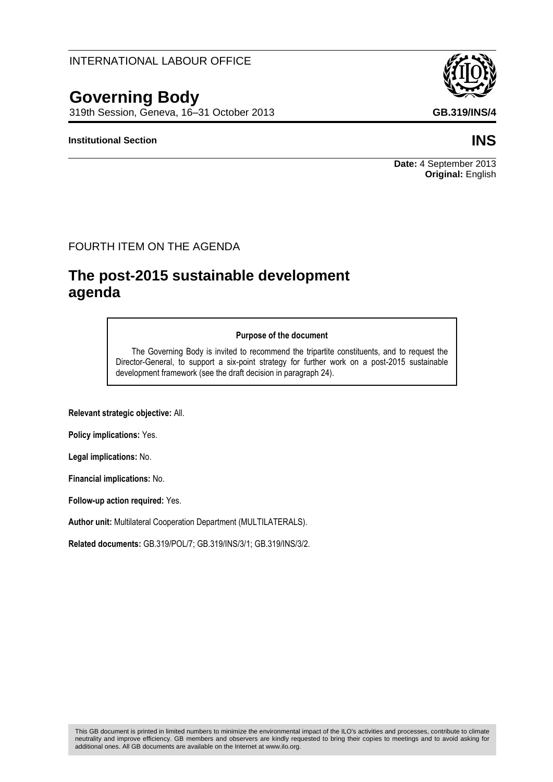neutrality and improve efficiency. GB members and observers are kindly requested to bring their copies to meetings and to avoid asking for

# INTERNATIONAL LABOUR OFFICE

# **Governing Body**

319th Session, Geneva, 16–31 October 2013 **GB.319/INS/4**

### **Institutional Section INS**

## FOURTH ITEM ON THE AGENDA

# **The post-2015 sustainable development agenda**

#### **Purpose of the document**

The Governing Body is invited to recommend the tripartite constituents, and to request the Director-General, to support a six-point strategy for further work on a post-2015 sustainable development framework (see the draft decision in paragraph 24).

**Relevant strategic objective:** All.

**Policy implications:** Yes.

**Legal implications:** No.

**Financial implications:** No.

**Follow-up action required:** Yes.

**Author unit:** Multilateral Cooperation Department (MULTILATERALS).

**Related documents:** GB.319/POL/7; GB.319/INS/3/1; GB.319/INS/3/2.

additional ones. All GB documents are available on the Internet at www.ilo.org.



#### **Date:** 4 September 2013 **Original:** English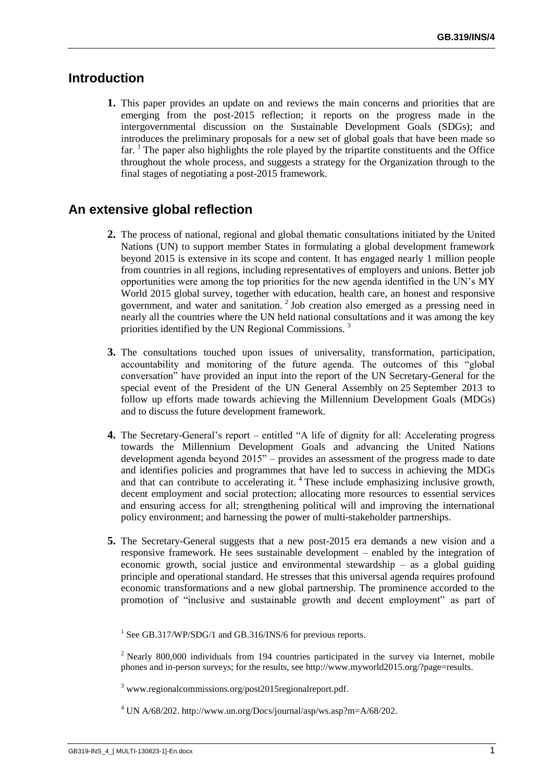# **Introduction**

**1.** This paper provides an update on and reviews the main concerns and priorities that are emerging from the post-2015 reflection; it reports on the progress made in the intergovernmental discussion on the Sustainable Development Goals (SDGs); and introduces the preliminary proposals for a new set of global goals that have been made so  $far.$  The paper also highlights the role played by the tripartite constituents and the Office throughout the whole process, and suggests a strategy for the Organization through to the final stages of negotiating a post-2015 framework.

# **An extensive global reflection**

- **2.** The process of national, regional and global thematic consultations initiated by the United Nations (UN) to support member States in formulating a global development framework beyond 2015 is extensive in its scope and content. It has engaged nearly 1 million people from countries in all regions, including representatives of employers and unions. Better job opportunities were among the top priorities for the new agenda identified in the UN's MY World 2015 global survey, together with education, health care, an honest and responsive government, and water and sanitation.<sup>2</sup> Job creation also emerged as a pressing need in nearly all the countries where the UN held national consultations and it was among the key priorities identified by the UN Regional Commissions. <sup>3</sup>
- **3.** The consultations touched upon issues of universality, transformation, participation, accountability and monitoring of the future agenda. The outcomes of this "global conversation" have provided an input into the report of the UN Secretary-General for the special event of the President of the UN General Assembly on 25 September 2013 to follow up efforts made towards achieving the Millennium Development Goals (MDGs) and to discuss the future development framework.
- **4.** The Secretary-General's report entitled "A life of dignity for all: Accelerating progress towards the Millennium Development Goals and advancing the United Nations development agenda beyond 2015" – provides an assessment of the progress made to date and identifies policies and programmes that have led to success in achieving the MDGs and that can contribute to accelerating it.<sup>4</sup> These include emphasizing inclusive growth, decent employment and social protection; allocating more resources to essential services and ensuring access for all; strengthening political will and improving the international policy environment; and harnessing the power of multi-stakeholder partnerships.
- **5.** The Secretary-General suggests that a new post-2015 era demands a new vision and a responsive framework. He sees sustainable development – enabled by the integration of economic growth, social justice and environmental stewardship – as a global guiding principle and operational standard. He stresses that this universal agenda requires profound economic transformations and a new global partnership. The prominence accorded to the promotion of "inclusive and sustainable growth and decent employment" as part of

<sup>&</sup>lt;sup>1</sup> See GB.317/WP/SDG/1 and GB.316/INS/6 for previous reports.

<sup>&</sup>lt;sup>2</sup> Nearly 800,000 individuals from 194 countries participated in the survey via Internet, mobile phones and in-person surveys; for the results, see http://www.myworld2015.org/?page=results.

<sup>3</sup> www.regionalcommissions.org/post2015regionalreport.pdf.

 $4$  UN A/68/202. http://www.un.org/Docs/journal/asp/ws.asp?m=A/68/202.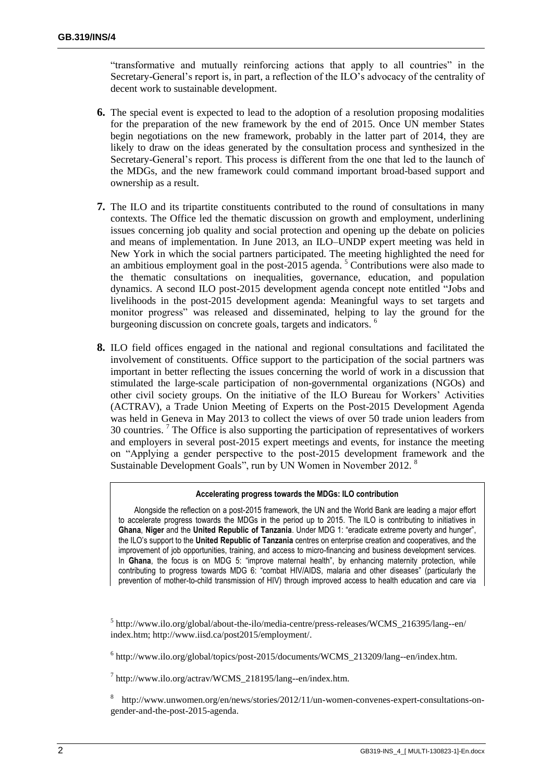"transformative and mutually reinforcing actions that apply to all countries" in the Secretary-General's report is, in part, a reflection of the ILO's advocacy of the centrality of decent work to sustainable development.

- **6.** The special event is expected to lead to the adoption of a resolution proposing modalities for the preparation of the new framework by the end of 2015. Once UN member States begin negotiations on the new framework, probably in the latter part of 2014, they are likely to draw on the ideas generated by the consultation process and synthesized in the Secretary-General's report. This process is different from the one that led to the launch of the MDGs, and the new framework could command important broad-based support and ownership as a result.
- **7.** The ILO and its tripartite constituents contributed to the round of consultations in many contexts. The Office led the thematic discussion on growth and employment, underlining issues concerning job quality and social protection and opening up the debate on policies and means of implementation. In June 2013, an ILO–UNDP expert meeting was held in New York in which the social partners participated. The meeting highlighted the need for an ambitious employment goal in the post- $2015$  agenda.<sup>5</sup> Contributions were also made to the thematic consultations on inequalities, governance, education, and population dynamics. A second ILO post-2015 development agenda concept note entitled "Jobs and livelihoods in the post-2015 development agenda: Meaningful ways to set targets and monitor progress" was released and disseminated, helping to lay the ground for the burgeoning discussion on concrete goals, targets and indicators.<sup>6</sup>
- **8.** ILO field offices engaged in the national and regional consultations and facilitated the involvement of constituents. Office support to the participation of the social partners was important in better reflecting the issues concerning the world of work in a discussion that stimulated the large-scale participation of non-governmental organizations (NGOs) and other civil society groups. On the initiative of the ILO Bureau for Workers' Activities (ACTRAV), a Trade Union Meeting of Experts on the Post-2015 Development Agenda was held in Geneva in May 2013 to collect the views of over 50 trade union leaders from 30 countries. <sup>7</sup> The Office is also supporting the participation of representatives of workers and employers in several post-2015 expert meetings and events, for instance the meeting on "Applying a gender perspective to the post-2015 development framework and the Sustainable Development Goals", run by UN Women in November 2012.

#### **Accelerating progress towards the MDGs: ILO contribution**

Alongside the reflection on a post-2015 framework, the UN and the World Bank are leading a major effort to accelerate progress towards the MDGs in the period up to 2015. The ILO is contributing to initiatives in **Ghana**, **Niger** and the **United Republic of Tanzania**. Under MDG 1: "eradicate extreme poverty and hunger", the ILO's support to the **United Republic of Tanzania** centres on enterprise creation and cooperatives, and the improvement of job opportunities, training, and access to micro-financing and business development services. In **Ghana**, the focus is on MDG 5: "improve maternal health", by enhancing maternity protection, while contributing to progress towards MDG 6: "combat HIV/AIDS, malaria and other diseases" (particularly the prevention of mother-to-child transmission of HIV) through improved access to health education and care via

<sup>5</sup> http://www.ilo.org/global/about-the-ilo/media-centre/press-releases/WCMS\_216395/lang--en/ index.htm; http://www.iisd.ca/post2015/employment/.

<sup>6</sup> http://www.ilo.org/global/topics/post-2015/documents/WCMS\_213209/lang--en/index.htm.

7 http://www.ilo.org/actrav/WCMS\_218195/lang--en/index.htm.

<sup>8</sup> http://www.unwomen.org/en/news/stories/2012/11/un-women-convenes-expert-consultations-ongender-and-the-post-2015-agenda.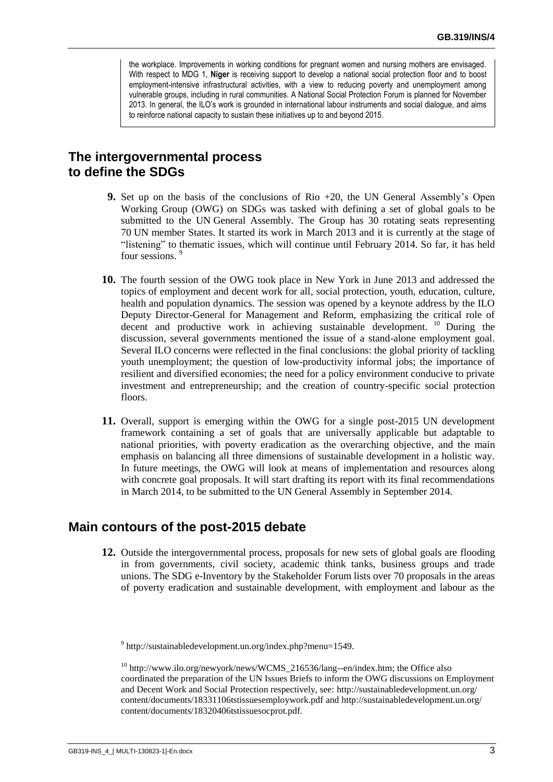the workplace. Improvements in working conditions for pregnant women and nursing mothers are envisaged. With respect to MDG 1, **Niger** is receiving support to develop a national social protection floor and to boost employment-intensive infrastructural activities, with a view to reducing poverty and unemployment among vulnerable groups, including in rural communities. A National Social Protection Forum is planned for November 2013. In general, the ILO's work is grounded in international labour instruments and social dialogue, and aims to reinforce national capacity to sustain these initiatives up to and beyond 2015.

# **The intergovernmental process to define the SDGs**

- **9.** Set up on the basis of the conclusions of Rio +20, the UN General Assembly's Open Working Group (OWG) on SDGs was tasked with defining a set of global goals to be submitted to the UN General Assembly. The Group has 30 rotating seats representing 70 UN member States. It started its work in March 2013 and it is currently at the stage of "listening" to thematic issues, which will continue until February 2014. So far, it has held four sessions. <sup>9</sup>
- **10.** The fourth session of the OWG took place in New York in June 2013 and addressed the topics of employment and decent work for all, social protection, youth, education, culture, health and population dynamics. The session was opened by a keynote address by the ILO Deputy Director-General for Management and Reform, emphasizing the critical role of decent and productive work in achieving sustainable development. <sup>10</sup> During the discussion, several governments mentioned the issue of a stand-alone employment goal. Several ILO concerns were reflected in the final conclusions: the global priority of tackling youth unemployment; the question of low-productivity informal jobs; the importance of resilient and diversified economies; the need for a policy environment conducive to private investment and entrepreneurship; and the creation of country-specific social protection floors.
- **11.** Overall, support is emerging within the OWG for a single post-2015 UN development framework containing a set of goals that are universally applicable but adaptable to national priorities, with poverty eradication as the overarching objective, and the main emphasis on balancing all three dimensions of sustainable development in a holistic way. In future meetings, the OWG will look at means of implementation and resources along with concrete goal proposals. It will start drafting its report with its final recommendations in March 2014, to be submitted to the UN General Assembly in September 2014.

### **Main contours of the post-2015 debate**

**12.** Outside the intergovernmental process, proposals for new sets of global goals are flooding in from governments, civil society, academic think tanks, business groups and trade unions. The SDG e-Inventory by the Stakeholder Forum lists over 70 proposals in the areas of poverty eradication and sustainable development, with employment and labour as the

<sup>9</sup> http://sustainabledevelopment.un.org/index.php?menu=1549.

<sup>10</sup> http://www.ilo.org/newyork/news/WCMS\_216536/lang--en/index.htm; the Office also coordinated the preparation of the UN Issues Briefs to inform the OWG discussions on Employment and Decent Work and Social Protection respectively, see: http://sustainabledevelopment.un.org/ content/documents/18331106tstissuesemploywork.pdf and http://sustainabledevelopment.un.org/ content/documents/18320406tstissuesocprot.pdf.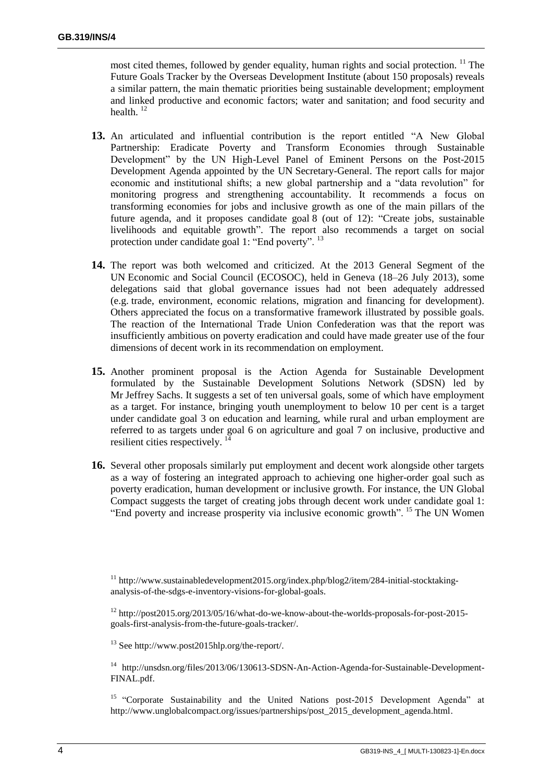most cited themes, followed by gender equality, human rights and social protection. <sup>11</sup> The Future Goals Tracker by the Overseas Development Institute (about 150 proposals) reveals a similar pattern, the main thematic priorities being sustainable development; employment and linked productive and economic factors; water and sanitation; and food security and health.<sup>12</sup>

- **13.** An articulated and influential contribution is the report entitled "A New Global Partnership: Eradicate Poverty and Transform Economies through Sustainable Development" by the UN High-Level Panel of Eminent Persons on the Post-2015 Development Agenda appointed by the UN Secretary-General. The report calls for major economic and institutional shifts; a new global partnership and a "data revolution" for monitoring progress and strengthening accountability. It recommends a focus on transforming economies for jobs and inclusive growth as one of the main pillars of the future agenda, and it proposes candidate goal 8 (out of 12): "Create jobs, sustainable livelihoods and equitable growth". The report also recommends a target on social protection under candidate goal 1: "End poverty". <sup>13</sup>
- **14.** The report was both welcomed and criticized. At the 2013 General Segment of the UN Economic and Social Council (ECOSOC), held in Geneva (18–26 July 2013), some delegations said that global governance issues had not been adequately addressed (e.g. trade, environment, economic relations, migration and financing for development). Others appreciated the focus on a transformative framework illustrated by possible goals. The reaction of the International Trade Union Confederation was that the report was insufficiently ambitious on poverty eradication and could have made greater use of the four dimensions of decent work in its recommendation on employment.
- **15.** Another prominent proposal is the Action Agenda for Sustainable Development formulated by the Sustainable Development Solutions Network (SDSN) led by Mr Jeffrey Sachs. It suggests a set of ten universal goals, some of which have employment as a target. For instance, bringing youth unemployment to below 10 per cent is a target under candidate goal 3 on education and learning, while rural and urban employment are referred to as targets under goal 6 on agriculture and goal 7 on inclusive, productive and resilient cities respectively.  $14$
- **16.** Several other proposals similarly put employment and decent work alongside other targets as a way of fostering an integrated approach to achieving one higher-order goal such as poverty eradication, human development or inclusive growth. For instance, the UN Global Compact suggests the target of creating jobs through decent work under candidate goal 1: "End poverty and increase prosperity via inclusive economic growth". <sup>15</sup> The UN Women

<sup>13</sup> See http://www.post2015hlp.org/the-report/.

<sup>14</sup> http://unsdsn.org/files/2013/06/130613-SDSN-An-Action-Agenda-for-Sustainable-Development-FINAL.pdf.

<sup>15</sup> "Corporate Sustainability and the United Nations post-2015 Development Agenda" at http://www.unglobalcompact.org/issues/partnerships/post\_2015\_development\_agenda.html.

<sup>&</sup>lt;sup>11</sup> http://www.sustainabledevelopment2015.org/index.php/blog2/item/284-initial-stocktakinganalysis-of-the-sdgs-e-inventory-visions-for-global-goals.

<sup>12</sup> http://post2015.org/2013/05/16/what-do-we-know-about-the-worlds-proposals-for-post-2015 goals-first-analysis-from-the-future-goals-tracker/.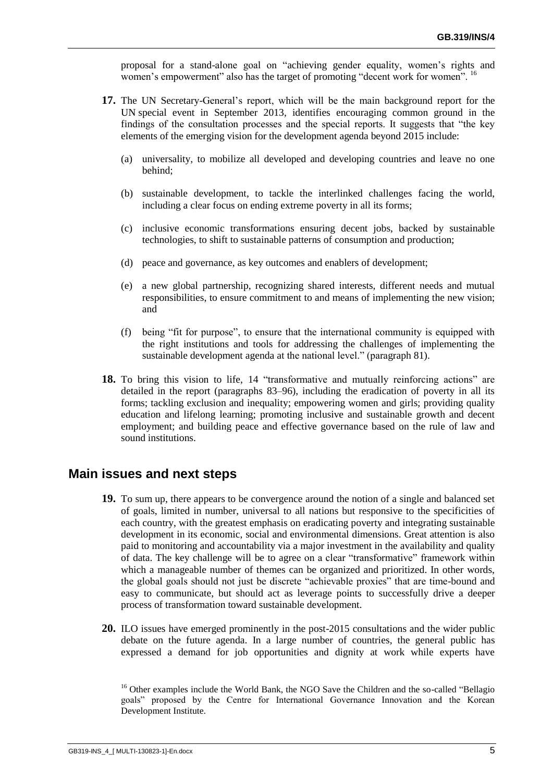proposal for a stand-alone goal on "achieving gender equality, women's rights and women's empowerment" also has the target of promoting "decent work for women". <sup>16</sup>

- **17.** The UN Secretary-General's report, which will be the main background report for the UN special event in September 2013, identifies encouraging common ground in the findings of the consultation processes and the special reports. It suggests that "the key elements of the emerging vision for the development agenda beyond 2015 include:
	- (a) universality, to mobilize all developed and developing countries and leave no one behind;
	- (b) sustainable development, to tackle the interlinked challenges facing the world, including a clear focus on ending extreme poverty in all its forms;
	- (c) inclusive economic transformations ensuring decent jobs, backed by sustainable technologies, to shift to sustainable patterns of consumption and production;
	- (d) peace and governance, as key outcomes and enablers of development;
	- (e) a new global partnership, recognizing shared interests, different needs and mutual responsibilities, to ensure commitment to and means of implementing the new vision; and
	- (f) being "fit for purpose", to ensure that the international community is equipped with the right institutions and tools for addressing the challenges of implementing the sustainable development agenda at the national level." (paragraph 81).
- 18. To bring this vision to life, 14 "transformative and mutually reinforcing actions" are detailed in the report (paragraphs 83–96), including the eradication of poverty in all its forms; tackling exclusion and inequality; empowering women and girls; providing quality education and lifelong learning; promoting inclusive and sustainable growth and decent employment; and building peace and effective governance based on the rule of law and sound institutions.

#### **Main issues and next steps**

- **19.** To sum up, there appears to be convergence around the notion of a single and balanced set of goals, limited in number, universal to all nations but responsive to the specificities of each country, with the greatest emphasis on eradicating poverty and integrating sustainable development in its economic, social and environmental dimensions. Great attention is also paid to monitoring and accountability via a major investment in the availability and quality of data. The key challenge will be to agree on a clear "transformative" framework within which a manageable number of themes can be organized and prioritized. In other words, the global goals should not just be discrete "achievable proxies" that are time-bound and easy to communicate, but should act as leverage points to successfully drive a deeper process of transformation toward sustainable development.
- **20.** ILO issues have emerged prominently in the post-2015 consultations and the wider public debate on the future agenda. In a large number of countries, the general public has expressed a demand for job opportunities and dignity at work while experts have

<sup>&</sup>lt;sup>16</sup> Other examples include the World Bank, the NGO Save the Children and the so-called "Bellagio goals" proposed by the Centre for International Governance Innovation and the Korean Development Institute.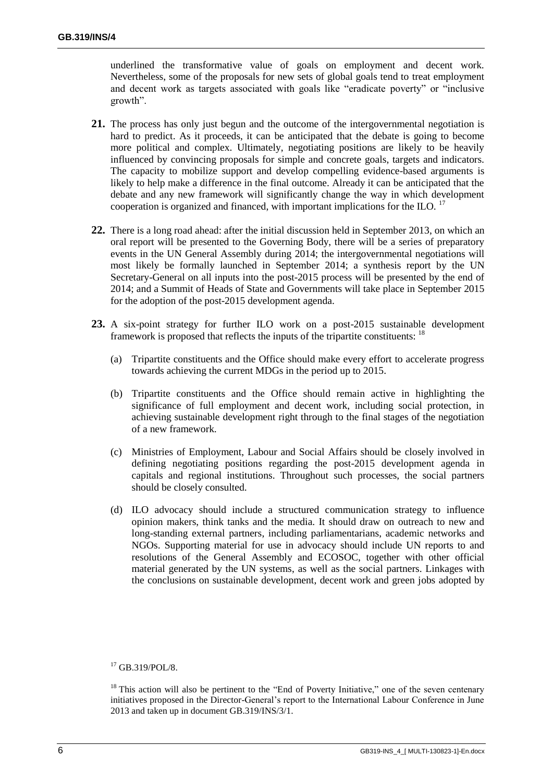underlined the transformative value of goals on employment and decent work. Nevertheless, some of the proposals for new sets of global goals tend to treat employment and decent work as targets associated with goals like "eradicate poverty" or "inclusive growth".

- **21.** The process has only just begun and the outcome of the intergovernmental negotiation is hard to predict. As it proceeds, it can be anticipated that the debate is going to become more political and complex. Ultimately, negotiating positions are likely to be heavily influenced by convincing proposals for simple and concrete goals, targets and indicators. The capacity to mobilize support and develop compelling evidence-based arguments is likely to help make a difference in the final outcome. Already it can be anticipated that the debate and any new framework will significantly change the way in which development cooperation is organized and financed, with important implications for the ILO.  $^{17}$
- **22.** There is a long road ahead: after the initial discussion held in September 2013, on which an oral report will be presented to the Governing Body, there will be a series of preparatory events in the UN General Assembly during 2014; the intergovernmental negotiations will most likely be formally launched in September 2014; a synthesis report by the UN Secretary-General on all inputs into the post-2015 process will be presented by the end of 2014; and a Summit of Heads of State and Governments will take place in September 2015 for the adoption of the post-2015 development agenda.
- **23.** A six-point strategy for further ILO work on a post-2015 sustainable development framework is proposed that reflects the inputs of the tripartite constituents: <sup>18</sup>
	- (a) Tripartite constituents and the Office should make every effort to accelerate progress towards achieving the current MDGs in the period up to 2015.
	- (b) Tripartite constituents and the Office should remain active in highlighting the significance of full employment and decent work, including social protection, in achieving sustainable development right through to the final stages of the negotiation of a new framework.
	- (c) Ministries of Employment, Labour and Social Affairs should be closely involved in defining negotiating positions regarding the post-2015 development agenda in capitals and regional institutions. Throughout such processes, the social partners should be closely consulted.
	- (d) ILO advocacy should include a structured communication strategy to influence opinion makers, think tanks and the media. It should draw on outreach to new and long-standing external partners, including parliamentarians, academic networks and NGOs. Supporting material for use in advocacy should include UN reports to and resolutions of the General Assembly and ECOSOC, together with other official material generated by the UN systems, as well as the social partners. Linkages with the conclusions on sustainable development, decent work and green jobs adopted by

<sup>&</sup>lt;sup>17</sup> GB.319/POL/8.

 $18$  This action will also be pertinent to the "End of Poverty Initiative," one of the seven centenary initiatives proposed in the Director-General's report to the International Labour Conference in June 2013 and taken up in document GB.319/INS/3/1.